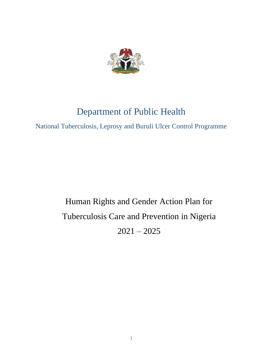

# Department of Public Health

National Tuberculosis, Leprosy and Buruli Ulcer Control Programme

# Human Rights and Gender Action Plan for Tuberculosis Care and Prevention in Nigeria  $2021 - 2025$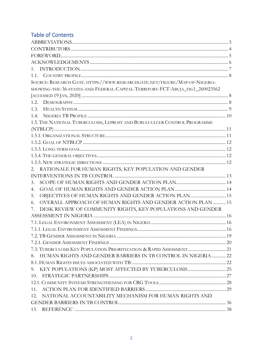# **Table of Contents**

| $1_{-}$                                                                      |  |
|------------------------------------------------------------------------------|--|
|                                                                              |  |
| SOURCE: RESEARCH GATE. HTTPS://WWW.RESEARCHGATE.NET/FIGURE/MAP-OF-NIGERIA-   |  |
| SHOWING-THE-36-STATES-AND-FEDERAL-CAPITAL-TERRITORY-FCT-ABUJA_FIG1_260023562 |  |
|                                                                              |  |
|                                                                              |  |
| 1.3.                                                                         |  |
| 1.4.                                                                         |  |
| 1.5. THE NATIONAL TUBERCULOSIS, LEPROSY AND BURULI-ULCER CONTROL PROGRAMME   |  |
|                                                                              |  |
|                                                                              |  |
|                                                                              |  |
|                                                                              |  |
|                                                                              |  |
|                                                                              |  |
| 2. RATIONALE FOR HUMAN RIGHTS, KEY POPULATION AND GENDER                     |  |
|                                                                              |  |
| 3.                                                                           |  |
| 4.                                                                           |  |
| OBJECTIVES OF HUMAN RIGHTS AND GENDER ACTION PLAN 15<br>5.                   |  |
| OVERALL APPROACH OF HUMAN RIGHTS AND GENDER ACTION PLAN  15<br>6.            |  |
| DESK REVIEW OF COMMUNITY RIGHTS, KEY POPULATIONS AND GENDER<br>7.            |  |
|                                                                              |  |
|                                                                              |  |
|                                                                              |  |
|                                                                              |  |
|                                                                              |  |
| 7.3. TUBERCULOSIS KEY POPULATION PRIORITIZATION & RAPID ASSESSMENT  21       |  |
| 8. HUMAN RIGHTS AND GENDER BARRIERS IN TB CONTROL IN NIGERIA  22             |  |
|                                                                              |  |
| 9.                                                                           |  |
| 10.                                                                          |  |
|                                                                              |  |
| 11.                                                                          |  |
| NATIONAL ACCOUNTABILITY MECHANISM FOR HUMAN RIGHTS AND<br>12.                |  |
|                                                                              |  |
| 13.                                                                          |  |
|                                                                              |  |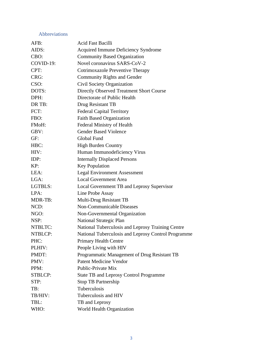# <span id="page-2-0"></span>Abbreviations

| AFB:           | <b>Acid Fast Bacilli</b>                            |
|----------------|-----------------------------------------------------|
| AIDS:          | <b>Acquired Immune Deficiency Syndrome</b>          |
| CBO:           | <b>Community Based Organization</b>                 |
| COVID-19:      | Novel coronavirus SARS-CoV-2                        |
| CPT:           | Cotrimoxazole Preventive Therapy                    |
| CRG:           | <b>Community Rights and Gender</b>                  |
| CSO:           | Civil Society Organization                          |
| DOTS:          | Directly Observed Treatment Short Course            |
| DPH:           | Directorate of Public Health                        |
| DR TB:         | Drug Resistant TB                                   |
| FCT:           | <b>Federal Capital Territory</b>                    |
| FBO:           | <b>Faith Based Organization</b>                     |
| FMoH:          | Federal Ministry of Health                          |
| GBV:           | <b>Gender Based Violence</b>                        |
| GF:            | Global Fund                                         |
| HBC:           | <b>High Burden Country</b>                          |
| HIV:           | Human Immunodeficiency Virus                        |
| IDP:           | <b>Internally Displaced Persons</b>                 |
| KP:            | <b>Key Population</b>                               |
| LEA:           | <b>Legal Environment Assessment</b>                 |
| LGA:           | <b>Local Government Area</b>                        |
| <b>LGTBLS:</b> | Local Government TB and Leprosy Supervisor          |
| LPA:           | Line Probe Assay                                    |
| MDR-TB:        | Multi-Drug Resistant TB                             |
| NCD:           | <b>Non-Communicable Diseases</b>                    |
| NGO:           | Non-Governmental Organization                       |
| NSP:           | <b>National Strategic Plan</b>                      |
| NTBLTC:        | National Tuberculosis and Leprosy Training Centre   |
| NTBLCP:        | National Tuberculosis and Leprosy Control Programme |
| PHC:           | Primary Health Centre                               |
| PLHIV:         | People Living with HIV                              |
| PMDT:          | Programmatic Management of Drug Resistant TB        |
| PMV:           | <b>Patent Medicine Vendor</b>                       |
| PPM:           | Public-Private Mix                                  |
| <b>STBLCP:</b> | <b>State TB and Leprosy Control Programme</b>       |
| STP:           | <b>Stop TB Partnership</b>                          |
| TB:            | Tuberculosis                                        |
| TB/HIV:        | Tuberculosis and HIV                                |
| TBL:           | TB and Leprosy                                      |
| WHO:           | World Health Organization                           |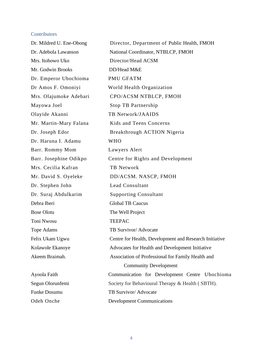#### <span id="page-3-0"></span>**Contributors**

Mrs. Itohowo Uko Director/Head ACSM Mr. Godwin Brooks DD/Head M&E Dr. Emperor Ubochioma PMU GFATM Mayowa Joel Stop TB Partnership Olayide Akanni TB Network/JAAIDS Dr. Haruna I. Adamu WHO Barr. Rommy Mom Lawyers Alert Mrs. Cecilia Kafran TB Network Dr. Stephen John Lead Consultant Dr. Suraj Abdulkarim Supporting Consultant Debra Iberi Global TB Caucus Bose Olotu The Well Project Toni Nwosu TEEPAC Tope Adams TB Survivor/ Advocate

Dr. Mildred U. Ene-Obong Director, Department of Public Health, FMOH Dr. Adebola Lawanson National Coordinator, NTBLCP, FMOH Dr Amos F. Omoniyi World Health Organization Mrs. Olajumoke Adebari CPO/ACSM NTBLCP, FMOH Mr. Martin-Mary Falana Kids and Teens Concerns Dr. Joseph Edor Breakthrough ACTION Nigeria Barr. Josephine Odikpo Centre for Rights and Development Mr. David S. Oyeleke DD/ACSM. NASCP, FMOH Felix Ukam Ugwu Centre for Health, Development and Research Initiative Kolawole Ekanoye Advocates for Health and Development Initiative Akeem Braimah. Association of Professional for Family Health and Community Development Ayoola Faith Communication for Development Centre Ubochioma Segun Olorunfemi Society for Behavioural Therapy & Health (SBTH). Funke Dosumu TB Survivor/ Advocate Odeh Onche Development Communications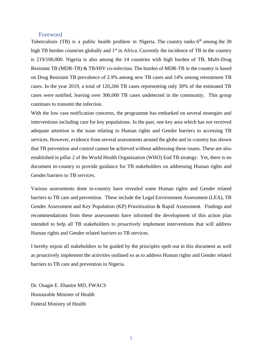#### Foreword

<span id="page-4-0"></span>Tuberculosis (TB) is a public health problem in Nigeria. The country ranks  $6<sup>th</sup>$  among the 30 high TB burden countries globally and 1<sup>st</sup> in Africa. Currently the incidence of TB in the country is 219/100,000. Nigeria is also among the 14 countries with high burden of TB, Multi-Drug Resistant TB (MDR-TB) & TB/HIV co-infection. The burden of MDR-TB in the country is based on Drug Resistant TB prevalence of 2.9% among new TB cases and 14% among retreatment TB cases. In the year 2019, a total of 120,266 TB cases representing only 30% of the estimated TB cases were notified, leaving over 300,000 TB cases undetected in the community. This group continues to transmit the infection.

With the low case notification concerns, the programme has embarked on several strategies and interventions including care for key populations. In the past, one key area which has not received adequate attention is the issue relating to Human rights and Gender barriers to accessing TB services. However, evidence from several assessments around the globe and in-country has shown that TB prevention and control cannot be achieved without addressing these issues. These are also established in pillar 2 of the World Health Organization (WHO) End TB strategy. Yet, there is no document in-country to provide guidance for TB stakeholders on addressing Human rights and Gender barriers to TB services.

Various assessments done in-country have revealed some Human rights and Gender related barriers to TB care and prevention. These include the Legal Environment Assessment (LEA), TB Gender Assessment and Key Population (KP) Prioritization & Rapid Assessment. Findings and recommendations from these assessments have informed the development of this action plan intended to help all TB stakeholders to proactively implement interventions that will address Human rights and Gender related barriers to TB services.

I hereby enjoin all stakeholders to be guided by the principles spelt out in this document as well as proactively implement the activities outlined so as to address Human rights and Gender related barriers to TB care and prevention in Nigeria.

Dr. Osagie E. Ehanire MD, FWACS Honourable Minister of Health Federal Ministry of Health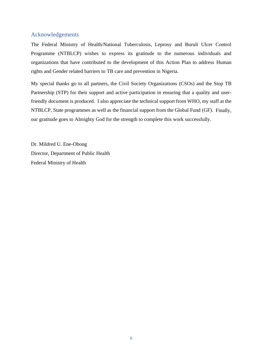## <span id="page-5-0"></span>Acknowledgements

The Federal Ministry of Health/National Tuberculosis, Leprosy and Buruli Ulcer Control Programme (NTBLCP) wishes to express its gratitude to the numerous individuals and organizations that have contributed to the development of this Action Plan to address Human rights and Gender related barriers to TB care and prevention in Nigeria.

My special thanks go to all partners, the Civil Society Organizations (CSOs) and the Stop TB Partnership (STP) for their support and active participation in ensuring that a quality and userfriendly document is produced. I also appreciate the technical support from WHO, my staff at the NTBLCP, State programmes as well as the financial support from the Global Fund (GF). Finally, our gratitude goes to Almighty God for the strength to complete this work successfully.

Dr. Mildred U. Ene-Obong Director, Department of Public Health Federal Ministry of Health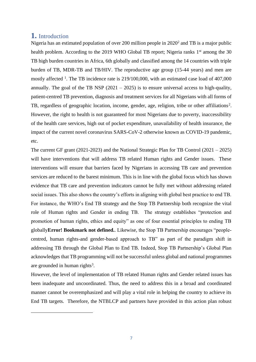# <span id="page-6-0"></span>**1.** Introduction

<span id="page-6-2"></span>Nigeria has an estimated population of over 200 million people in 2020<sup>2</sup> and TB is a major public health problem. According to the 2019 WHO Global TB report; Nigeria ranks 1<sup>st</sup> among the 30 TB high burden countries in Africa, 6th globally and classified among the 14 countries with triple burden of TB, MDR-TB and TB/HIV. The reproductive age group (15-44 years) and men are mostly affected <sup>1</sup>. The TB incidence rate is 219/100,000, with an estimated case load of 407,000 annually. The goal of the TB NSP  $(2021 - 2025)$  is to ensure universal access to high-quality, patient-centred TB prevention, diagnosis and treatment services for all Nigerians with all forms of TB, regardless of geographic location, income, gender, age, religion, tribe or other affiliations<sup>2</sup>. However, the right to health is not guaranteed for most Nigerians due to poverty, inaccessibility of the health care services, high out of pocket expenditure, unavailability of health insurance, the impact of the current novel coronavirus SARS-CoV-2 otherwise known as COVID-19 pandemic, etc.

<span id="page-6-1"></span>The current GF grant (2021-2023) and the National Strategic Plan for TB Control (2021 – 2025) will have interventions that will address TB related Human rights and Gender issues. These interventions will ensure that barriers faced by Nigerians in accessing TB care and prevention services are reduced to the barest minimum. This is in line with the global focus which has shown evidence that TB care and prevention indicators cannot be fully met without addressing related social issues. This also shows the country's efforts in aligning with global best practice to end TB. For instance, the WHO's End TB strategy and the Stop TB Partnership both recognize the vital role of Human rights and Gender in ending TB. The strategy establishes "protection and promotion of human rights, ethics and equity" as one of four essential principles to ending TB globally**Error! Bookmark not defined.**. Likewise, the Stop TB Partnership encourages "peoplecentred, human rights-and gender-based approach to TB" as part of the paradigm shift in addressing TB through the Global Plan to End TB. Indeed, Stop TB Partnership's Global Plan acknowledges that TB programming will not be successful unless global and national programmes are grounded in human rights<sup>3</sup>.

However, the level of implementation of TB related Human rights and Gender related issues has been inadequate and uncoordinated. Thus, the need to address this in a broad and coordinated manner cannot be overemphasized and will play a vital role in helping the country to achieve its End TB targets. Therefore, the NTBLCP and partners have provided in this action plan robust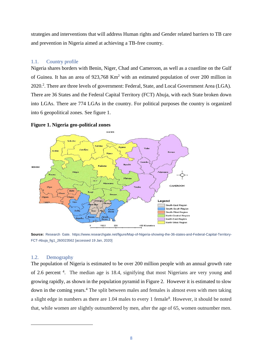strategies and interventions that will address Human rights and Gender related barriers to TB care and prevention in Nigeria aimed at achieving a TB-free country.

## <span id="page-7-0"></span>1.1. Country profile

Nigeria shares borders with Benin, Niger, Chad and Cameroon, as well as a coastline on the Gulf of Guinea. It has an area of 923,768 Km<sup>2</sup> with an estimated population of over 200 million in [2](#page-6-1)020.<sup>2</sup>. There are three levels of government: Federal, State, and Local Government Area (LGA). There are 36 States and the Federal Capital Territory (FCT) Abuja, with each State broken down into LGAs. There are 774 LGAs in the country. For political purposes the country is organized into 6 geopolitical zones. See figure 1.



**Figure 1. Nigeria geo-political zones**

<span id="page-7-1"></span>**Source:** Research Gate. https://www.researchgate.net/figure/Map-of-Nigeria-showing-the-36-states-and-Federal-Capital-Territory-FCT-Abuja\_fig1\_260023562 [accessed 19 Jan, 2020]

#### <span id="page-7-2"></span>1.2. Demography

<span id="page-7-3"></span>The population of Nigeria is estimated to be over 200 million people with an annual growth rate of 2.6 percent <sup>4</sup>. The median age is 18.4, signifying that most Nigerians are very young and growing rapidly, as shown in the population pyramid in Figure 2. However it is estimated to slow down in the coming years.<sup>[4](#page-7-3)</sup> The split between males and females is almost even with men taking a slight edge in numbers as there are 1.04 males to every 1 female<sup>8</sup>. However, it should be noted that, while women are slightly outnumbered by men, after the age of 65, women outnumber men.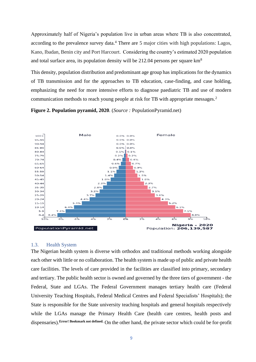Approximately half of Nigeria's population live in urban areas where TB is also concentrated, according to the prevalence survey data.<sup>[4](#page-7-3)</sup> There are 5 major cities with high populations: Lagos, Kano, Ibadan, Benin city and Port Harcourt. Considering the country's estimated 2020 population and total surface area, its population density will be 212.04 persons per square km<sup>8</sup>

This density, population distribution and predominant age group has implications for the dynamics of TB transmission and for the approaches to TB education, case-finding, and case holding, emphasizing the need for more intensive efforts to diagnose paediatric TB and use of modern communication methods to reach young people at risk for TB with appropriate messages.[2](#page-6-1)





#### <span id="page-8-0"></span>1.3. Health System

The Nigerian health system is diverse with orthodox and traditional methods working alongside each other with little or no collaboration. The health system is made up of public and private health care facilities. The levels of care provided in the facilities are classified into primary, secondary and tertiary. The public health sector is owned and governed by the three tiers of government - the Federal, State and LGAs. The Federal Government manages tertiary health care (Federal University Teaching Hospitals, Federal Medical Centres and Federal Specialists' Hospitals); the State is responsible for the State university teaching hospitals and general hospitals respectively while the LGAs manage the Primary Health Care (health care centres, health posts and dispensaries).**Error! Bookmark not defined.** On the other hand, the private sector which could be for-profit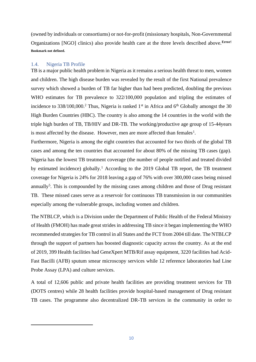(owned by individuals or consortiums) or not-for-profit (missionary hospitals, Non-Governmental Organizations [NGO] clinics) also provide health care at the three levels described above.**Error! Bookmark not defined.**

## <span id="page-9-0"></span>1.4. Nigeria TB Profile

TB is a major public health problem in Nigeria as it remains a serious health threat to men, women and children. The high disease burden was revealed by the result of the first National prevalence survey which showed a burden of TB far higher than had been predicted, doubling the previous WHO estimates for TB prevalence to  $322/100,000$  population and tripling the estimates of incidence to  $338/100,000$ .<sup>[2](#page-6-1)</sup> Thus, Nigeria is ranked 1<sup>st</sup> in Africa and 6<sup>th</sup> Globally amongst the 30 High Burden Countries (HBC). The country is also among the 14 countries in the world with the triple high burden of TB, TB/HIV and DR-TB. The working/productive age group of 15-44years is most affected by the disease. However, men are more affected than females<sup>[1](#page-6-2)</sup>.

Furthermore, Nigeria is among the eight countries that accounted for two thirds of the global TB cases and among the ten countries that accounted for about 80% of the missing TB cases (gap). Nigeria has the lowest TB treatment coverage (the number of people notified and treated divided by estimated incidence) globally.[1](#page-6-2) According to the 2019 Global TB report, the TB treatment coverage for Nigeria is 24% for 2018 leaving a gap of 76% with over 300,000 cases being missed annually<sup>5</sup>. This is compounded by the missing cases among children and those of Drug resistant TB. These missed cases serve as a reservoir for continuous TB transmission in our communities especially among the vulnerable groups, including women and children.

The NTBLCP, which is a Division under the Department of Public Health of the Federal Ministry of Health (FMOH) has made great strides in addressing TB since it began implementing the WHO recommended strategies for TB control in all States and the FCT from 2004 till date. The NTBLCP through the support of partners has boosted diagnostic capacity across the country. As at the end of 2019, 399 Health facilities had GeneXpert MTB/Rif assay equipment, 3220 facilities had Acid-Fast Bacilli (AFB) sputum smear microscopy services while 12 reference laboratories had Line Probe Assay (LPA) and culture services.

A total of 12,606 public and private health facilities are providing treatment services for TB (DOTS centres) while 28 health facilities provide hospital-based management of Drug resistant TB cases. The programme also decentralized DR-TB services in the community in order to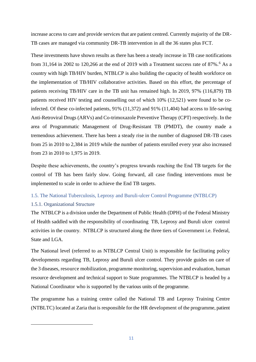increase access to care and provide services that are patient centred. Currently majority of the DR-TB cases are managed via community DR-TB intervention in all the 36 states plus FCT.

These investments have shown results as there has been a steady increase in TB case notifications from 31,164 in 2002 to 120,266 at the end of 2019 with a Treatment success rate of  $87\%$ .<sup>6</sup> As a country with high TB/HIV burden, NTBLCP is also building the capacity of health workforce on the implementation of TB/HIV collaborative activities. Based on this effort, the percentage of patients receiving TB/HIV care in the TB unit has remained high. In 2019, 97% (116,879) TB patients received HIV testing and counselling out of which 10% (12,521) were found to be coinfected. Of these co-infected patients, 91% (11,372) and 91% (11,404) had access to life-saving Anti-Retroviral Drugs (ARVs) and Co-trimoxazole Preventive Therapy (CPT) respectively. In the area of Programmatic Management of Drug-Resistant TB (PMDT), the country made a tremendous achievement. There has been a steady rise in the number of diagnosed DR-TB cases from 25 in 2010 to 2,384 in 2019 while the number of patients enrolled every year also increased from 23 in 2010 to 1,975 in 2019.

Despite these achievements, the country's progress towards reaching the End TB targets for the control of TB has been fairly slow. Going forward, all case finding interventions must be implemented to scale in order to achieve the End TB targets.

## <span id="page-10-0"></span>1.5. The National Tuberculosis, Leprosy and Buruli-ulcer Control Programme (NTBLCP)

## <span id="page-10-1"></span>1.5.1. Organizational Structure

The NTBLCP is a division under the Department of Public Health (DPH) of the Federal Ministry of Health saddled with the responsibility of coordinating TB, Leprosy and Buruli ulcer control activities in the country. NTBLCP is structured along the three tiers of Government i.e. Federal, State and LGA.

The National level (referred to as NTBLCP Central Unit) is responsible for facilitating policy developments regarding TB, Leprosy and Buruli ulcer control. They provide guides on care of the 3 diseases, resource mobilization, programme monitoring, supervision and evaluation, human resource development and technical support to State programmes. The NTBLCP is headed by a National Coordinator who is supported by the various units of the programme.

The programme has a training centre called the National TB and Leprosy Training Centre (NTBLTC) located at Zaria that is responsible for the HR development of the programme, patient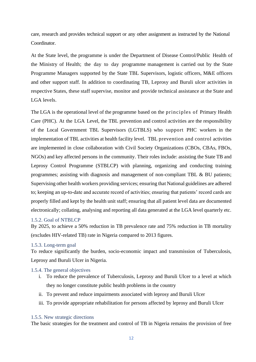care, research and provides technical support or any other assignment as instructed by the National Coordinator.

At the State level, the programme is under the Department of Disease Control/Public Health of the Ministry of Health; the day to day programme management is carried out by the State Programme Managers supported by the State TBL Supervisors, logistic officers, M&E officers and other support staff. In addition to coordinating TB, Leprosy and Buruli ulcer activities in respective States, these staff supervise, monitor and provide technical assistance at the State and LGA levels.

The LGA is the operational level of the programme based on the principles of Primary Health Care (PHC). At the LGA Level, the TBL prevention and control activities are the responsibility of the Local Government TBL Supervisors (LGTBLS) who support PHC workers in the implementation of TBL activities at health facility level. TBL prevention and control activities are implemented in close collaboration with Civil Society Organizations (CBOs, CBAs, FBOs, NGOs) and key affected persons in the community. Their roles include: assisting the State TB and Leprosy Control Programme (STBLCP) with planning, organizing and conducting training programmes; assisting with diagnosis and management of non-compliant TBL & BU patients; Supervising other health workers providing services; ensuring that National guidelines are adhered to; keeping an up-to-date and accurate record of activities; ensuring that patients' record cards are properly filled and kept by the health unit staff; ensuring that all patient level data are documented electronically; collating, analysing and reporting all data generated at the LGA level quarterly etc.

#### <span id="page-11-0"></span>1.5.2. Goal of NTBLCP

By 2025, to achieve a 50% reduction in TB prevalence rate and 75% reduction in TB mortality (excludes HIV-related TB) rate in Nigeria compared to 2013 figures.

#### <span id="page-11-1"></span>1.5.3. Long-term goal

To reduce significantly the burden, socio-economic impact and transmission of Tuberculosis, Leprosy and Buruli Ulcer in Nigeria.

#### <span id="page-11-2"></span>1.5.4. The general objectives

- i. To reduce the prevalence of Tuberculosis, Leprosy and Buruli Ulcer to a level at which they no longer constitute public health problems in the country
- ii. To prevent and reduce impairments associated with leprosy and Buruli Ulcer
- iii. To provide appropriate rehabilitation for persons affected by leprosy and Buruli Ulcer

#### <span id="page-11-3"></span>1.5.5. New strategic directions

The basic strategies for the treatment and control of TB in Nigeria remains the provision of free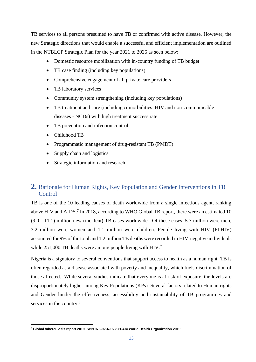TB services to all persons presumed to have TB or confirmed with active disease. However, the new Strategic directions that would enable a successful and efficient implementation are outlined in the NTBLCP Strategic Plan for the year 2021 to 2025 as seen below:

- Domestic resource mobilization with in-country funding of TB budget
- TB case finding (including key populations)
- Comprehensive engagement of all private care providers
- TB laboratory services
- Community system strengthening (including key populations)
- TB treatment and care (including comorbidities: HIV and non-communicable diseases - NCDs) with high treatment success rate
- TB prevention and infection control
- Childhood TB
- Programmatic management of drug-resistant TB (PMDT)
- Supply chain and logistics
- Strategic information and research

# <span id="page-12-0"></span>**2.** Rationale for Human Rights, Key Population and Gender Interventions in TB Control

<span id="page-12-1"></span>TB is one of the 10 leading causes of death worldwide from a single infectious agent, ranking above HIV and AIDS.<sup>7</sup> In 2018, according to WHO Global TB report, there were an estimated 10  $(9.0-11.1)$  million new (incident) TB cases worldwide. Of these cases, 5.7 million were men, 3.2 million were women and 1.1 million were children. People living with HIV (PLHIV) accounted for 9% of the total and 1.2 million TB deaths were recorded in HIV-negative individuals while 251,000 TB deaths were among people living with HIV.<sup>[7](#page-12-1)</sup>

Nigeria is a signatory to several conventions that support access to health as a human right. TB is often regarded as a disease associated with poverty and inequality, which fuels discrimination of those affected. While several studies indicate that everyone is at risk of exposure, the levels are disproportionately higher among Key Populations (KPs). Several factors related to Human rights and Gender hinder the effectiveness, accessibility and sustainability of TB programmes and services in the country.<sup>[8](#page-13-1)</sup>

<sup>7</sup> **Global tuberculosis report 2019 ISBN 978-92-4-156571-4 © World Health Organization 2019.**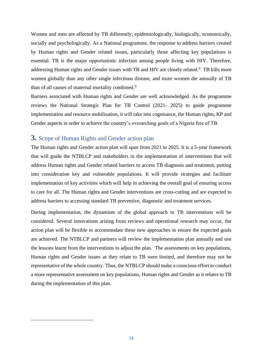Women and men are affected by TB differently; epidemiologically, biologically, economically, socially and psychologically. As a National programme, the response to address barriers created by Human rights and Gender related issues, particularly those affecting key populations is essential. TB is the major opportunistic infection among people living with HIV. Therefore, addressing Human rights and Gender issues with TB and HIV are closely related.<sup>8</sup> TB kills more women globally than any other single infectious disease, and more women die annually of TB than of all causes of maternal mortality combined.<sup>9</sup>

<span id="page-13-1"></span>Barriers associated with Human rights and Gender are well acknowledged. As the programme reviews the National Strategic Plan for TB Control (2021- 2025) to guide programme implementation and resource mobilisation, it will take into cognisance, the Human rights, KP and Gender aspects in order to achieve the country's overarching goals of a Nigeria free of TB.

# <span id="page-13-0"></span>**3.** Scope of Human Rights and Gender action plan

The Human rights and Gender action plan will span from 2021 to 2025. It is a 5-year framework that will guide the NTBLCP and stakeholders in the implementation of interventions that will address Human rights and Gender related barriers to access TB diagnosis and treatment, putting into consideration key and vulnerable populations. It will provide strategies and facilitate implementation of key activities which will help in achieving the overall goal of ensuring access to care for all. The Human rights and Gender interventions are cross-cutting and are expected to address barriers to accessing standard TB preventive, diagnostic and treatment services.

During implementation, the dynamism of the global approach to TB interventions will be considered. Several innovations arising from reviews and operational research may occur, the action plan will be flexible to accommodate these new approaches to ensure the expected goals are achieved. The NTBLCP and partners will review the implementation plan annually and use the lessons learnt from the interventions to adjust the plan. The assessments on key populations, Human rights and Gender issues as they relate to TB were limited, and therefore may not be representative of the whole country. Thus, the NTBLCP should make a conscious effort to conduct a more representative assessment on key populations, Human rights and Gender as it relates to TB during the implementation of this plan.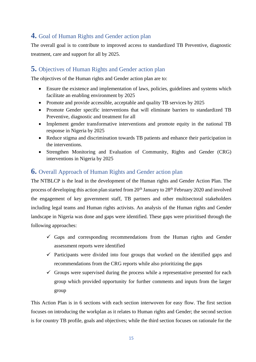# <span id="page-14-0"></span>**4.** Goal of Human Rights and Gender action plan

The overall goal is to contribute to improved access to standardized TB Preventive, diagnostic treatment, care and support for all by 2025.

# <span id="page-14-1"></span>**5.** Objectives of Human Rights and Gender action plan

The objectives of the Human rights and Gender action plan are to:

- Ensure the existence and implementation of laws, policies, guidelines and systems which facilitate an enabling environment by 2025
- Promote and provide accessible, acceptable and quality TB services by 2025
- Promote Gender specific interventions that will eliminate barriers to standardized TB Preventive, diagnostic and treatment for all
- Implement gender transformative interventions and promote equity in the national TB response in Nigeria by 2025
- Reduce stigma and discrimination towards TB patients and enhance their participation in the interventions.
- Strengthen Monitoring and Evaluation of Community, Rights and Gender (CRG) interventions in Nigeria by 2025

# <span id="page-14-2"></span>**6.** Overall Approach of Human Rights and Gender action plan

The NTBLCP is the lead in the development of the Human rights and Gender Action Plan. The process of developing this action plan started from 20<sup>th</sup> January to 28<sup>th</sup> February 2020 and involved the engagement of key government staff, TB partners and other multisectoral stakeholders including legal teams and Human rights activists. An analysis of the Human rights and Gender landscape in Nigeria was done and gaps were identified. These gaps were prioritised through the following approaches:

- $\checkmark$  Gaps and corresponding recommendations from the Human rights and Gender assessment reports were identified
- $\checkmark$  Participants were divided into four groups that worked on the identified gaps and recommendations from the CRG reports while also prioritizing the gaps
- $\checkmark$  Groups were supervised during the process while a representative presented for each group which provided opportunity for further comments and inputs from the larger group

This Action Plan is in 6 sections with each section interwoven for easy flow. The first section focuses on introducing the workplan as it relates to Human rights and Gender; the second section is for country TB profile, goals and objectives; while the third section focuses on rationale for the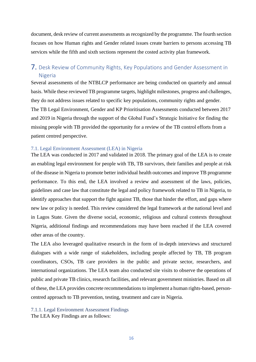document, desk review of current assessments as recognized by the programme. The fourth section focuses on how Human rights and Gender related issues create barriers to persons accessing TB services while the fifth and sixth sections represent the costed activity plan framework.

# <span id="page-15-0"></span>7. Desk Review of Community Rights, Key Populations and Gender Assessment in Nigeria

Several assessments of the NTBLCP performance are being conducted on quarterly and annual basis. While these reviewed TB programme targets, highlight milestones, progress and challenges, they do not address issues related to specific key populations, community rights and gender. The TB Legal Environment, Gender and KP Prioritisation Assessments conducted between 2017 and 2019 in Nigeria through the support of the Global Fund's Strategic Initiative for finding the missing people with TB provided the opportunity for a review of the TB control efforts from a patient centred perspective.

#### <span id="page-15-1"></span>7.1. Legal Environment Assessment (LEA) in Nigeria

The LEA was conducted in 2017 and validated in 2018. The primary goal of the LEA is to create an enabling legal environment for people with TB, TB survivors, their families and people at risk of the disease in Nigeria to promote better individual health outcomes and improve TB programme performance. To this end, the LEA involved a review and assessment of the laws, policies, guidelines and case law that constitute the legal and policy framework related to TB in Nigeria, to identify approaches that support the fight against TB, those that hinder the effort, and gaps where new law or policy is needed. This review considered the legal framework at the national level and in Lagos State. Given the diverse social, economic, religious and cultural contexts throughout Nigeria, additional findings and recommendations may have been reached if the LEA covered other areas of the country.

The LEA also leveraged qualitative research in the form of in-depth interviews and structured dialogues with a wide range of stakeholders, including people affected by TB, TB program coordinators, CSOs, TB care providers in the public and private sector, researchers, and international organizations. The LEA team also conducted site visits to observe the operations of public and private TB clinics, research facilities, and relevant government ministries. Based on all of these, the LEA provides concrete recommendations to implement a human rights-based, personcentred approach to TB prevention, testing, treatment and care in Nigeria.

<span id="page-15-2"></span>7.1.1. Legal Environment Assessment Findings

The LEA Key Findings are as follows: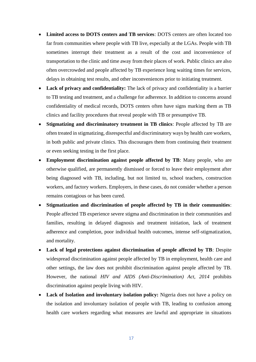- **Limited access to DOTS centers and TB services**: DOTS centers are often located too far from communities where people with TB live, especially at the LGAs. People with TB sometimes interrupt their treatment as a result of the cost and inconvenience of transportation to the clinic and time away from their places of work. Public clinics are also often overcrowded and people affected by TB experience long waiting times for services, delays in obtaining test results, and other inconveniences prior to initiating treatment.
- Lack of privacy and confidentiality: The lack of privacy and confidentiality is a barrier to TB testing and treatment, and a challenge for adherence. In addition to concerns around confidentiality of medical records, DOTS centers often have signs marking them as TB clinics and facility procedures that reveal people with TB or presumptive TB.
- **Stigmatizing and discriminatory treatment in TB clinics**: People affected by TB are often treated in stigmatizing, disrespectful and discriminatory ways by health care workers, in both public and private clinics. This discourages them from continuing their treatment or even seeking testing in the first place.
- **Employment discrimination against people affected by TB**: Many people, who are otherwise qualified, are permanently dismissed or forced to leave their employment after being diagnosed with TB, including, but not limited to, school teachers, construction workers, and factory workers. Employers, in these cases, do not consider whether a person remains contagious or has been cured.
- **Stigmatization and discrimination of people affected by TB in their communities**: People affected TB experience severe stigma and discrimination in their communities and families, resulting in delayed diagnosis and treatment initiation, lack of treatment adherence and completion, poor individual health outcomes, intense self-stigmatization, and mortality.
- **Lack of legal protections against discrimination of people affected by TB:** Despite widespread discrimination against people affected by TB in employment, health care and other settings, the law does not prohibit discrimination against people affected by TB. However, the national *HIV and AIDS (Anti-Discrimination) Act, 2014* prohibits discrimination against people living with HIV.
- **Lack of Isolation and involuntary isolation policy:** Nigeria does not have a policy on the isolation and involuntary isolation of people with TB, leading to confusion among health care workers regarding what measures are lawful and appropriate in situations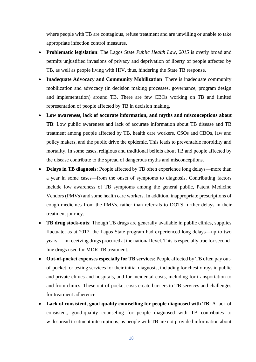where people with TB are contagious, refuse treatment and are unwilling or unable to take appropriate infection control measures.

- **Problematic legislation**: The Lagos State *Public Health Law, 2015* is overly broad and permits unjustified invasions of privacy and deprivation of liberty of people affected by TB, as well as people living with HIV, thus, hindering the State TB response.
- **Inadequate Advocacy and Community Mobilization**: There is inadequate community mobilization and advocacy (in decision making processes, governance, program design and implementation) around TB. There are few CBOs working on TB and limited representation of people affected by TB in decision making.
- **Low awareness, lack of accurate information, and myths and misconceptions about TB**: Low public awareness and lack of accurate information about TB disease and TB treatment among people affected by TB, health care workers, CSOs and CBOs, law and policy makers, and the public drive the epidemic. This leads to preventable morbidity and mortality. In some cases, religious and traditional beliefs about TB and people affected by the disease contribute to the spread of dangerous myths and misconceptions.
- **Delays in TB diagnosis**: People affected by TB often experience long delays—more than a year in some cases—from the onset of symptoms to diagnosis. Contributing factors include low awareness of TB symptoms among the general public, Patent Medicine Vendors (PMVs) and some health care workers. In addition, inappropriate prescriptions of cough medicines from the PMVs, rather than referrals to DOTS further delays in their treatment journey.
- **TB drug stock-outs**: Though TB drugs are generally available in public clinics, supplies fluctuate; as at 2017, the Lagos State program had experienced long delays—up to two years — in receiving drugs procured at the national level. This is especially true for secondline drugs used for MDR-TB treatment.
- **Out-of-pocket expenses especially for TB services**: People affected by TB often pay outof-pocket for testing services for their initial diagnosis, including for chest x-rays in public and private clinics and hospitals, and for incidental costs, including for transportation to and from clinics. These out-of-pocket costs create barriers to TB services and challenges for treatment adherence.
- **Lack of consistent, good-quality counselling for people diagnosed with TB**: A lack of consistent, good-quality counseling for people diagnosed with TB contributes to widespread treatment interruptions, as people with TB are not provided information about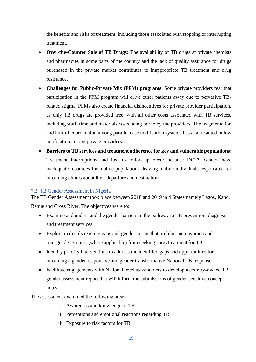the benefits and risks of treatment, including those associated with stopping or interrupting treatment.

- **Over-the-Counter Sale of TB Drugs:** The availability of TB drugs at private chemists and pharmacies in some parts of the country and the lack of quality assurance for drugs purchased in the private market contributes to inappropriate TB treatment and drug resistance.
- **Challenges for Public-Private Mix (PPM) programs**: Some private providers fear that participation in the PPM program will drive other patients away due to pervasive TBrelated stigma. PPMs also create financial disincentives for private provider participation, as only TB drugs are provided free, with all other costs associated with TB services, including staff, time and materials costs being borne by the providers. The fragmentation and lack of coordination among parallel case notification systems has also resulted in low notification among private providers.
- **Barriers to TB services and treatment adherence for key and vulnerable populations**: Treatment interruptions and lost to follow-up occur because DOTS centers have inadequate resources for mobile populations, leaving mobile individuals responsible for informing clinics about their departure and destination.

#### <span id="page-18-0"></span>7.2. TB Gender Assessment in Nigeria

The TB Gender Assessment took place between 2018 and 2019 in 4 States namely Lagos, Kano, Benue and Cross River. The objectives were to:

- Examine and understand the gender barriers in the pathway to TB prevention, diagnosis and treatment services
- Explore in details existing gaps and gender norms that prohibit men, women and transgender groups, (where applicable) from seeking care /treatment for TB
- Identify priority interventions to address the identified gaps and opportunities for informing a gender-responsive and gender transformative National TB response
- Facilitate engagements with National level stakeholders to develop a country-owned TB gender assessment report that will inform the submissions of gender-sensitive concept notes.

The assessment examined the following areas:

- i. Awareness and knowledge of TB
- ii. Perceptions and emotional reactions regarding TB
- iii. Exposure to risk factors for TB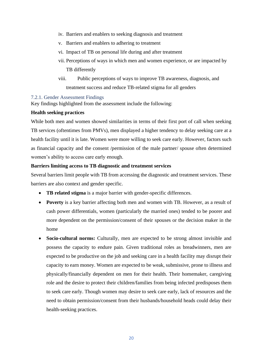- iv. Barriers and enablers to seeking diagnosis and treatment
- v. Barriers and enablers to adhering to treatment
- vi. Impact of TB on personal life during and after treatment
- vii. Perceptions of ways in which men and women experience, or are impacted by TB differently
- viii. Public perceptions of ways to improve TB awareness, diagnosis, and treatment success and reduce TB-related stigma for all genders

#### <span id="page-19-0"></span>7.2.1. Gender Assessment Findings

Key findings highlighted from the assessment include the following:

#### **Health seeking practices**

While both men and women showed similarities in terms of their first port of call when seeking TB services (oftentimes from PMVs), men displayed a higher tendency to delay seeking care at a health facility until it is late. Women were more willing to seek care early. However, factors such as financial capacity and the consent /permission of the male partner/ spouse often determined women's ability to access care early enough.

#### **Barriers limiting access to TB diagnostic and treatment services**

Several barriers limit people with TB from accessing the diagnostic and treatment services. These barriers are also context and gender specific.

- **TB related stigma** is a major barrier with gender-specific differences.
- **Poverty** is a key barrier affecting both men and women with TB. However, as a result of cash power differentials, women (particularly the married ones) tended to be poorer and more dependent on the permission/consent of their spouses or the decision maker in the home
- **Socio-cultural norms:** Culturally, men are expected to be strong almost invisible and possess the capacity to endure pain. Given traditional roles as breadwinners, men are expected to be productive on the job and seeking care in a health facility may disrupt their capacity to earn money. Women are expected to be weak, submissive, prone to illness and physically/financially dependent on men for their health. Their homemaker, caregiving role and the desire to protect their children/families from being infected predisposes them to seek care early. Though women may desire to seek care early, lack of resources and the need to obtain permission/consent from their husbands/household heads could delay their health-seeking practices.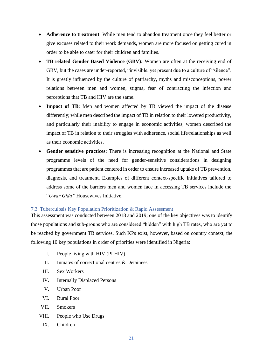- **Adherence to treatment**: While men tend to abandon treatment once they feel better or give excuses related to their work demands, women are more focused on getting cured in order to be able to cater for their children and families.
- **TB related Gender Based Violence (GBV):** Women are often at the receiving end of GBV, but the cases are under-reported, "invisible, yet present due to a culture of "silence". It is greatly influenced by the culture of patriarchy, myths and misconceptions, power relations between men and women, stigma, fear of contracting the infection and perceptions that TB and HIV are the same.
- **Impact of TB**: Men and women affected by TB viewed the impact of the disease differently; while men described the impact of TB in relation to their lowered productivity, and particularly their inability to engage in economic activities, women described the impact of TB in relation to their struggles with adherence, social life/relationships as well as their economic activities.
- **Gender sensitive practices**: There is increasing recognition at the National and State programme levels of the need for gender-sensitive considerations in designing programmes that are patient centered in order to ensure increased uptake of TB prevention, diagnosis, and treatment. Examples of different context-specific initiatives tailored to address some of the barriers men and women face in accessing TB services include the "*Uwar Gida"* Housewives Initiative.

#### <span id="page-20-0"></span>7.3. Tuberculosis Key Population Prioritization & Rapid Assessment

This assessment was conducted between 2018 and 2019; one of the key objectives was to identify those populations and sub-groups who are considered "hidden" with high TB rates, who are yet to be reached by government TB services. Such KPs exist, however, based on country context, the following 10 key populations in order of priorities were identified in Nigeria:

- I. People living with HIV (PLHIV)
- II. Inmates of correctional centres & Detainees
- III. Sex Workers
- IV. Internally Displaced Persons
- V. Urban Poor
- VI. Rural Poor
- VII. Smokers
- VIII. People who Use Drugs
- IX. Children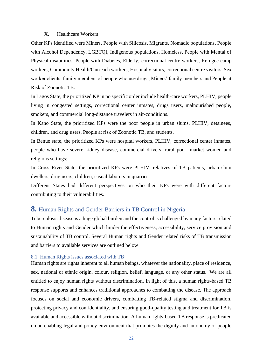#### X. Healthcare Workers

Other KPs identified were Miners, People with Silicosis, Migrants, Nomadic populations, People with Alcohol Dependency, LGBTQI, Indigenous populations, Homeless, People with Mental of Physical disabilities, People with Diabetes, Elderly, correctional centre workers, Refugee camp workers, Community Health/Outreach workers, Hospital visitors, correctional centre visitors, Sex worker clients, family members of people who use drugs, Miners' family members and People at Risk of Zoonotic TB.

In Lagos State, the prioritized KP in no specific order include health-care workers, PLHIV, people living in congested settings, correctional center inmates, drugs users, malnourished people, smokers, and commercial long-distance travelers in air-conditions.

In Kano State, the prioritized KPs were the poor people in urban slums, PLHIV, detainees, children, and drug users, People at risk of Zoonotic TB, and students.

In Benue state, the prioritized KPs were hospital workers, PLHIV, correctional center inmates, people who have severe kidney disease, commercial drivers, rural poor, market women and religious settings;

In Cross River State, the prioritized KPs were PLHIV, relatives of TB patients, urban slum dwellers, drug users, children, casual laborers in quarries.

Different States had different perspectives on who their KPs were with different factors contributing to their vulnerabilities.

## <span id="page-21-0"></span>**8.** Human Rights and Gender Barriers in TB Control in Nigeria

Tuberculosis disease is a huge global burden and the control is challenged by many factors related to Human rights and Gender which hinder the effectiveness, accessibility, service provision and sustainability of TB control. Several Human rights and Gender related risks of TB transmission and barriers to available services are outlined below

#### <span id="page-21-1"></span>8.1. Human Rights issues associated with TB:

Human rights are rights inherent to all human beings, whatever the nationality, place of residence, sex, national or ethnic origin, colour, religion, belief, language, or any other status. We are all entitled to enjoy human rights without discrimination. In light of this, a human rights-based TB response supports and enhances traditional approaches to combatting the disease. The approach focuses on social and economic drivers, combatting TB-related stigma and discrimination, protecting privacy and confidentiality, and ensuring good-quality testing and treatment for TB is available and accessible without discrimination. A human rights-based TB response is predicated on an enabling legal and policy environment that promotes the dignity and autonomy of people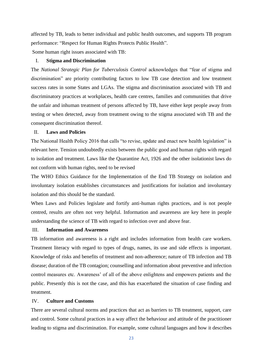affected by TB, leads to better individual and public health outcomes, and supports TB program performance: "Respect for Human Rights Protects Public Health".

Some human right issues associated with TB:

#### I. **Stigma and Discrimination**

The *National Strategic Plan for Tuberculosis Control* acknowledges that "fear of stigma and discrimination" are priority contributing factors to low TB case detection and low treatment success rates in some States and LGAs. The stigma and discrimination associated with TB and discriminatory practices at workplaces, health care centres, families and communities that drive the unfair and inhuman treatment of persons affected by TB, have either kept people away from testing or when detected, away from treatment owing to the stigma associated with TB and the consequent discrimination thereof.

#### II. **Laws and Policies**

The National Health Policy 2016 that calls "to revise, update and enact new health legislation" is relevant here. Tension undoubtedly exists between the public good and human rights with regard to isolation and treatment. Laws like the Quarantine Act, 1926 and the other isolationist laws do not conform with human rights, need to be revised

The WHO Ethics Guidance for the Implementation of the End TB Strategy on isolation and involuntary isolation establishes circumstances and justifications for isolation and involuntary isolation and this should be the standard.

When Laws and Policies legislate and fortify anti-human rights practices, and is not people centred, results are often not very helpful. Information and awareness are key here in people understanding the science of TB with regard to infection over and above fear.

#### III. **Information and Awareness**

TB information and awareness is a right and includes information from health care workers. Treatment literacy with regard to types of drugs, names, its use and side effects is important. Knowledge of risks and benefits of treatment and non-adherence; nature of TB infection and TB disease; duration of the TB contagion; counselling and information about preventive and infection control measures etc. Awareness' of all of the above enlightens and empowers patients and the public. Presently this is not the case, and this has exacerbated the situation of case finding and treatment.

#### IV. **Culture and Customs**

There are several cultural norms and practices that act as barriers to TB treatment, support, care and control. Some cultural practices in a way affect the behaviour and attitude of the practitioner leading to stigma and discrimination. For example, some cultural languages and how it describes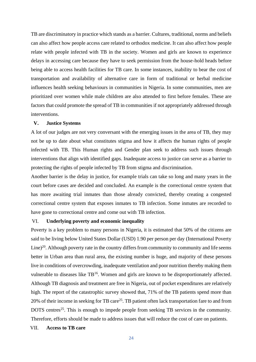TB are discriminatory in practice which stands as a barrier. Cultures, traditional, norms and beliefs can also affect how people access care related to orthodox medicine. It can also affect how people relate with people infected with TB in the society. Women and girls are known to experience delays in accessing care because they have to seek permission from the house-hold heads before being able to access health facilities for TB care. In some instances, inability to bear the cost of transportation and availability of alternative care in form of traditional or herbal medicine influences health seeking behaviours in communities in Nigeria. In some communities, men are prioritized over women while male children are also attended to first before females. These are factors that could promote the spread of TB in communities if not appropriately addressed through interventions.

#### **V. Justice Systems**

A lot of our judges are not very conversant with the emerging issues in the area of TB, they may not be up to date about what constitutes stigma and how it affects the human rights of people infected with TB. This Human rights and Gender plan seek to address such issues through interventions that align with identified gaps. Inadequate access to justice can serve as a barrier to protecting the rights of people infected by TB from stigma and discrimination.

Another barrier is the delay in justice, for example trials can take so long and many years in the court before cases are decided and concluded. An example is the correctional centre system that has more awaiting trial inmates than those already convicted, thereby creating a congested correctional centre system that exposes inmates to TB infection. Some inmates are recorded to have gone to correctional centre and come out with TB infection.

#### VI. **Underlying poverty and economic inequality**

Poverty is a key problem to many persons in Nigeria, it is estimated that 50% of the citizens are said to be living below United States Dollar (USD) 1.90 per person per day (International Poverty Line)<sup>20</sup>. Although poverty rate in the country differs from community to community and life seems better in Urban area than rural area, the existing number is huge, and majority of these persons live in conditions of overcrowding, inadequate ventilation and poor nutrition thereby making them vulnerable to diseases like TB<sup>16</sup>. Women and girls are known to be disproportionately affected. Although TB diagnosis and treatment are free in Nigeria, out of pocket expenditures are relatively high. The report of the catastrophic survey showed that, 71% of the TB patients spend more than 20% of their income in seeking for TB care<sup>25</sup>. TB patient often lack transportation fare to and from DOTS centres<sup>25</sup>. This is enough to impede people from seeking TB services in the community. Therefore, efforts should be made to address issues that will reduce the cost of care on patients.

#### VII. **Access to TB care**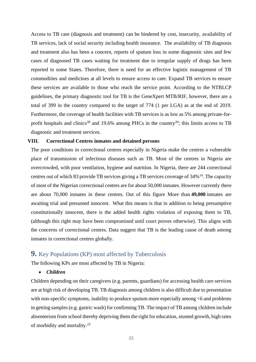Access to TB care (diagnosis and treatment) can be hindered by cost, insecurity, availability of TB services, lack of social security including health insurance. The availability of TB diagnosis and treatment also has been a concern, reports of sputum loss in some diagnostic sites and few cases of diagnosed TB cases waiting for treatment due to irregular supply of drugs has been reported in some States. Therefore, there is need for an effective logistic management of TB commodities and medicines at all levels to ensure access to care. Expand TB services to ensure these services are available to those who reach the service point. According to the NTBLCP guidelines, the primary diagnostic tool for TB is the GeneXpert MTB/RIF, however, there are a total of 399 in the country compared to the target of 774 (1 per LGA) as at the end of 2019. Furthermore, the coverage of health facilities with TB services is as low as 5% among private-forprofit hospitals and clinics<sup>28</sup> and 19.6% among PHCs in the country<sup>29</sup>; this limits access to TB diagnostic and treatment services.

#### **VIII. Correctional Centres inmates and detained persons**

The poor conditions in correctional centres especially in Nigeria make the centres a vulnerable place of transmission of infectious diseases such as TB. Most of the centres in Nigeria are overcrowded, with poor ventilation, hygiene and nutrition. In Nigeria, there are 244 correctional centres out of which 83 provide TB services giving a TB services coverage of 34%<sup>14</sup>. The capacity of most of the Nigerian correctional centres are for about 50,000 inmates. However currently there are about 70,000 inmates in these centres. Out of this figure More than **49,000** inmates are awaiting trial and presumed innocent. What this means is that in addition to being presumptive constitutionally innocent, there is the added health rights violation of exposing them to TB, (although this right may have been compromised until court proves otherwise). This aligns with the concerns of correctional centres. Data suggest that TB is the leading cause of death among inmates in correctional centres globally.

# <span id="page-24-0"></span>**9.** Key Populations (KP) most affected by Tuberculosis

The following KPs are most affected by TB in Nigeria:

• *Children*

Children depending on their caregivers (e.g. parents, guardians) for accessing health care services are at high risk of developing TB. TB diagnosis among children is also difficult due to presentation with non-specific symptoms, inability to produce sputum more especially among  $<6$  and problems in getting samples (e.g. gastric wash) for confirming TB. The impact of TB among children include absenteeism from school thereby depriving them the right for education, stunted growth, high rates of morbidity and mortality.<sup>22</sup>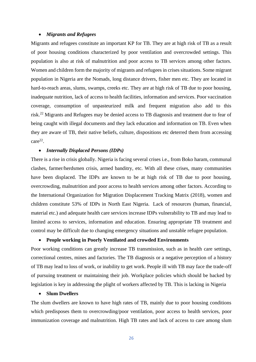#### • *Migrants and Refugees*

Migrants and refugees constitute an important KP for TB. They are at high risk of TB as a result of poor housing conditions characterized by poor ventilation and overcrowded settings. This population is also at risk of malnutrition and poor access to TB services among other factors. Women and children form the majority of migrants and refugees in crises situations. Some migrant population in Nigeria are the Nomads, long distance drivers, fisher men etc. They are located in hard-to-reach areas, slums, swamps, creeks etc. They are at high risk of TB due to poor housing, inadequate nutrition, lack of access to health facilities, information and services. Poor vaccination coverage, consumption of unpasteurized milk and frequent migration also add to this risk.<sup>22</sup> Migrants and Refugees may be denied access to TB diagnosis and treatment due to fear of being caught with illegal documents and they lack education and information on TB. Even when they are aware of TB, their native beliefs, culture, dispositions etc deterred them from accessing care<sup>22</sup>.

#### • *Internally Displaced Persons (IDPs)*

There is a rise in crisis globally. Nigeria is facing several crises i.e., from Boko haram, communal clashes, farmer/herdsmen crisis, armed banditry, etc. With all these crises, many communities have been displaced. The IDPs are known to be at high risk of TB due to poor housing, overcrowding, malnutrition and poor access to health services among other factors. According to the International Organization for Migration Displacement Tracking Matrix (2018), women and children constitute 53% of IDPs in North East Nigeria. Lack of resources (human, financial, material etc.) and adequate health care services increase IDPs vulnerability to TB and may lead to limited access to services, information and education. Ensuring appropriate TB treatment and control may be difficult due to changing emergency situations and unstable refugee population.

#### • **People working in Poorly Ventilated and crowded Environments**

Poor working conditions can greatly increase TB transmission, such as in health care settings, correctional centres, mines and factories. The TB diagnosis or a negative perception of a history of TB may lead to loss of work, or inability to get work. People ill with TB may face the trade-off of pursuing treatment or maintaining their job. Workplace policies which should be backed by legislation is key in addressing the plight of workers affected by TB. This is lacking in Nigeria

#### • **Slum Dwellers**

The slum dwellers are known to have high rates of TB, mainly due to poor housing conditions which predisposes them to overcrowding/poor ventilation, poor access to health services, poor immunization coverage and malnutrition. High TB rates and lack of access to care among slum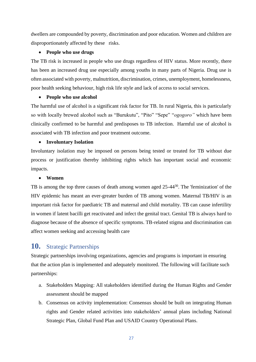dwellers are compounded by poverty, discrimination and poor education. Women and children are disproportionately affected by these risks.

#### • **People who use drugs**

The TB risk is increased in people who use drugs regardless of HIV status. More recently, there has been an increased drug use especially among youths in many parts of Nigeria. Drug use is often associated with poverty, malnutrition, discrimination, crimes, unemployment, homelessness, poor health seeking behaviour, high risk life style and lack of access to social services.

#### • **People who use alcohol**

The harmful use of alcohol is a significant risk factor for TB. In rural Nigeria, this is particularly so with locally brewed alcohol such as "Burukutu", "Pito" "Sepe" "*ogogoro"* which have been clinically confirmed to be harmful and predisposes to TB infection. Harmful use of alcohol is associated with TB infection and poor treatment outcome.

#### • **Involuntary Isolation**

Involuntary isolation may be imposed on persons being tested or treated for TB without due process or justification thereby inhibiting rights which has important social and economic impacts.

#### • **Women**

TB is among the top three causes of death among women aged 25-44<sup>30</sup>. The 'feminization' of the HIV epidemic has meant an ever-greater burden of TB among women. Maternal TB/HIV is an important risk factor for paediatric TB and maternal and child mortality. TB can cause infertility in women if latent bacilli get reactivated and infect the genital tract. Genital TB is always hard to diagnose because of the absence of specific symptoms. TB-related stigma and discrimination can affect women seeking and accessing health care

# <span id="page-26-0"></span>**10.** Strategic Partnerships

Strategic partnerships involving organizations, agencies and programs is important in ensuring that the action plan is implemented and adequately monitored. The following will facilitate such partnerships:

- a. Stakeholders Mapping: All stakeholders identified during the Human Rights and Gender assessment should be mapped
- b. Consensus on activity implementation: Consensus should be built on integrating Human rights and Gender related activities into stakeholders' annual plans including National Strategic Plan, Global Fund Plan and USAID Country Operational Plans.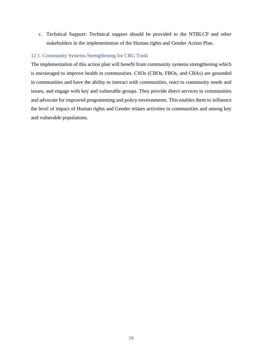c. Technical Support: Technical support should be provided to the NTBLCP and other stakeholders in the implementation of the Human rights and Gender Action Plan.

#### <span id="page-27-0"></span>12.1. Community Systems Strengthening for CRG Tools

The implementation of this action plan will benefit from community systems strengthening which is encouraged to improve health in communities. CSOs (CBOs, FBOs, and CBAs) are grounded in communities and have the ability to interact with communities, react to community needs and issues, and engage with key and vulnerable groups. They provide direct services to communities and advocate for improved programming and policy environments. This enables them to influence the level of impact of Human rights and Gender relates activities in communities and among key and vulnerable populations.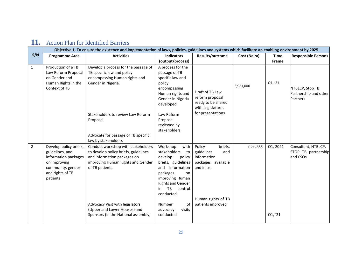<span id="page-28-0"></span>

|              | Objective 1. To ensure the existence and implementation of laws, policies, guidelines and systems which facilitate an enabling environment by 2025 |                                                                                                                                                                                                                                                                                                    |                                                                                                                                                                                                                                                              |                                                                                                                                      |              |                         |                                                        |
|--------------|----------------------------------------------------------------------------------------------------------------------------------------------------|----------------------------------------------------------------------------------------------------------------------------------------------------------------------------------------------------------------------------------------------------------------------------------------------------|--------------------------------------------------------------------------------------------------------------------------------------------------------------------------------------------------------------------------------------------------------------|--------------------------------------------------------------------------------------------------------------------------------------|--------------|-------------------------|--------------------------------------------------------|
| S/N          | <b>Programme Area</b>                                                                                                                              | <b>Activities</b>                                                                                                                                                                                                                                                                                  | <b>Indicators</b>                                                                                                                                                                                                                                            | Results/outcome                                                                                                                      | Cost (Naira) | <b>Time</b>             | <b>Responsible Persons</b>                             |
| $\mathbf{1}$ | Production of a TB<br>Law Reform Proposal<br>on Gender and<br>Human Rights in the<br>Context of TB                                                 | Develop a process for the passage of<br>TB specific law and policy<br>encompassing Human rights and<br>Gender in Nigeria.<br>Stakeholders to review Law Reform<br>Proposal<br>Advocate for passage of TB specific                                                                                  | (output/process)<br>A process for the<br>passage of TB<br>specific law and<br>policy<br>encompassing<br>Human rights and<br>Gender in Nigeria<br>developed<br>Law Reform<br>Proposal<br>reviewed by<br>stakeholders                                          | Draft of TB Law<br>reform proposal<br>ready to be shared<br>with Legislatures<br>for presentations                                   | 3,921,000    | <b>Frame</b><br>Q1, '21 | NTBLCP, Stop TB<br>Partnership and other<br>Partners   |
| 2            | Develop policy briefs,<br>guidelines, and<br>information packages<br>on improving<br>community, gender<br>and rights of TB<br>patients             | law by stakeholders<br>Conduct workshop with stakeholders<br>to develop policy briefs, guidelines<br>and information packages on<br>improving Human Rights and Gender<br>of TB patients.<br>Advocacy Visit with legislators<br>(Upper and Lower Houses) and<br>Sponsors (in the National assembly) | Workshop<br>with<br>stakeholders<br>to<br>develop<br>policy<br>briefs, guidelines<br>and information<br>packages<br>on<br>improving Human<br><b>Rights and Gender</b><br>TB<br>control<br>in<br>conducted<br>Number<br>0f<br>advocacy<br>visits<br>conducted | Policy<br>briefs,<br>guidelines<br>and<br>information<br>packages available<br>and in use<br>Human rights of TB<br>patients improved | 7,690,000    | Q1, 2021<br>Q1, '21     | Consultant, NTBLCP,<br>STOP TB partnership<br>and CSOs |

# **11.** Action Plan for Identified Barriers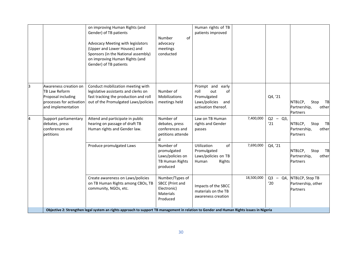|    |                                                                                                                       | on improving Human Rights (and<br>Gender) of TB patients<br>Advocacy Meeting with legislators<br>(Upper and Lower Houses) and<br>Sponsors (in the National assembly)<br>on improving Human Rights (and<br>Gender) of TB patients | Number<br>of<br>advocacy<br>meetings<br>conducted                                 | Human rights of TB<br>patients improved                                                                |            |                  |                                                            |
|----|-----------------------------------------------------------------------------------------------------------------------|----------------------------------------------------------------------------------------------------------------------------------------------------------------------------------------------------------------------------------|-----------------------------------------------------------------------------------|--------------------------------------------------------------------------------------------------------|------------|------------------|------------------------------------------------------------|
| 13 | Awareness creation on<br><b>TB Law Reform</b><br>Proposal including<br>processes for activation<br>and implementation | Conduct mobilization meeting with<br>legislative assistants and clerks on<br>fast tracking the production and roll<br>out of the Promulgated Laws/policies                                                                       | Number of<br>Mobilizations<br>meetings held                                       | Prompt and<br>early<br>roll<br>out<br>of<br>Promulgated<br>Laws/policies<br>and<br>activation thereof. |            | Q4, '21          | NTBLCP,<br>Stop<br>TB<br>Partnership,<br>other<br>Partners |
| 14 | Support parliamentary<br>debates, press<br>conferences and<br>petitions                                               | Attend and participate in public<br>hearing on passage of draft TB<br>Human rights and Gender law.                                                                                                                               | Number of<br>debates, press<br>conferences and<br>petitions attende<br>d          | Law on TB Human<br>rights and Gender<br>passes                                                         | 7,400,000  | $Q2 - Q3$<br>'21 | NTBLCP,<br>Stop<br>TB<br>Partnership,<br>other<br>Partners |
|    |                                                                                                                       | Produce promulgated Laws                                                                                                                                                                                                         | Number of<br>promulgated<br>Laws/policies on<br>TB Human Rights<br>produced       | Utilization<br>of<br>Promulgated<br>Laws/policies on TB<br>Human<br>Rights                             | 7,690,000  | Q4, '21          | NTBLCP,<br>Stop<br>TB<br>Partnership,<br>other<br>Partners |
|    |                                                                                                                       | Create awareness on Laws/policies<br>on TB Human Rights among CBOs, TB<br>community, NGOs, etc.                                                                                                                                  | Number/Types of<br>SBCC (Print and<br>Electronic)<br><b>Materials</b><br>Produced | Impacts of the SBCC<br>materials on the TB<br>awareness creation                                       | 18,500,000 | $Q3 - Q4$<br>'20 | NTBLCP, Stop TB<br>Partnership, other<br><b>Partners</b>   |
|    |                                                                                                                       | Objective 2: Strengthen legal system an rights approach to support TB management in relation to Gender and Human Rights issues in Nigeria                                                                                        |                                                                                   |                                                                                                        |            |                  |                                                            |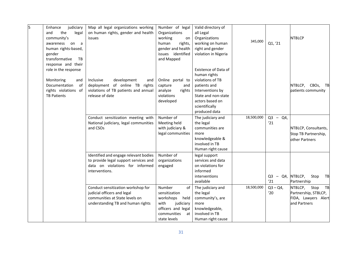| 5 | judiciary<br>Enhance<br>and<br>the<br>legal<br>community's<br>awareness on a             | Map all legal organizations working<br>on human rights, gender and health<br>issues                                                      | Number of legal<br>Organizations<br>working<br>on<br>rights,<br>human                                                              | Valid directory of<br>all Legal<br>Organizations<br>working on human                                                | 345,000    | Q1, '21                    | <b>NTBLCP</b>                                                                        |
|---|------------------------------------------------------------------------------------------|------------------------------------------------------------------------------------------------------------------------------------------|------------------------------------------------------------------------------------------------------------------------------------|---------------------------------------------------------------------------------------------------------------------|------------|----------------------------|--------------------------------------------------------------------------------------|
|   | human rights-based,<br>gender<br>transformative<br>TB<br>response and their              |                                                                                                                                          | gender and health<br>issues identified<br>and Mapped                                                                               | right and gender<br>violation in Nigeria                                                                            |            |                            |                                                                                      |
|   | role in the response<br>Monitoring<br>and<br>Documentation<br>of<br>rights violations of | development<br>Inclusive<br>and<br>deployment of online TB rights<br>violations of TB patients and annual                                | Online portal to<br>capture<br>and<br>analyze<br>rights                                                                            | Existence of Data of<br>human rights<br>violations of TB<br>patients and<br>Interventions by                        |            |                            | NTBLCP, CBOs, TB<br>patients community                                               |
|   | <b>TB Patients</b>                                                                       | release of date                                                                                                                          | violations<br>developed                                                                                                            | State and non-state<br>actors based on<br>scientifically<br>produced data                                           |            |                            |                                                                                      |
|   |                                                                                          | Conduct sensitization meeting with<br>National judiciary, legal communities<br>and CSOs                                                  | Number of<br>Meeting held<br>with judiciary &<br>legal communities                                                                 | The judiciary and<br>the legal<br>communities are<br>more<br>knowledgeable &<br>involved in TB<br>Human right cause | 18,500,000 | $Q3 -$<br>Q4<br>'21        | NTBLCP, Consultants,<br>Stop TB Partnership,<br>other Partners                       |
|   |                                                                                          | Identified and engage relevant bodies<br>to provide legal support services and<br>data on violations for informed<br>interventions.      | Number of<br>organizations<br>engaged                                                                                              | legal support<br>services and data<br>on violations for<br>informed<br>interventions<br>available                   |            | $Q3 - Q4$ , NTBLCP,<br>'21 | Stop<br>TB<br>Partnership                                                            |
|   |                                                                                          | Conduct sensitization workshop for<br>judicial officers and legal<br>communities at State levels on<br>understanding TB and human rights | Number<br>of<br>sensitization<br>workshops<br>held<br>with<br>judiciary<br>officers and legal<br>communities<br>at<br>state levels | The judiciary and<br>the legal<br>community's, are<br>more<br>knowledgeable,<br>involved in TB<br>Human right cause | 18,500,000 | $Q3 - Q4$ ,<br>'20         | NTBLCP,<br>TB<br>Stop<br>Partnership, STBLCP,<br>FIDA, Lawyers Alert<br>and Partners |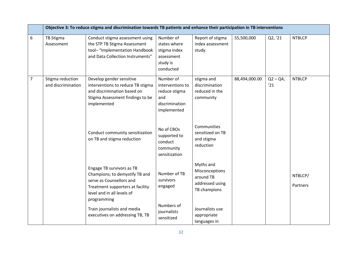|                | Objective 3: To reduce stigma and discrimination towards TB patients and enhance their participation in TB interventions |                                                                                                                                                                          |                                                                                        |                                                                             |               |                  |                     |
|----------------|--------------------------------------------------------------------------------------------------------------------------|--------------------------------------------------------------------------------------------------------------------------------------------------------------------------|----------------------------------------------------------------------------------------|-----------------------------------------------------------------------------|---------------|------------------|---------------------|
| 6              | TB Stigma<br>Assessment                                                                                                  | Conduct stigma assessment using<br>the STP TB Stigma Assessment<br>tool-"Implementation Handbook<br>and Data Collection Instruments"                                     | Number of<br>states where<br>stigma index<br>assessment<br>study is<br>conducted       | Report of stigma<br>index assessment<br>study                               | 55,500,000    | Q2, '21          | <b>NTBLCP</b>       |
| $\overline{7}$ | Stigma reduction<br>and discrimination                                                                                   | Develop gender sensitive<br>interventions to reduce TB stigma<br>and discrimination based on<br>Stigma Assessment findings to be<br>implemented                          | Number of<br>interventions to<br>reduce stigma<br>and<br>discrimination<br>implemented | stigma and<br>discrimination<br>reduced in the<br>community                 | 88,494,000.00 | $Q2 - Q4$<br>'21 | <b>NTBLCP</b>       |
|                |                                                                                                                          | Conduct community sensitization<br>on TB and stigma reduction                                                                                                            | No of CBOs<br>supported to<br>conduct<br>community<br>sensitization                    | Communities<br>sensitized on TB<br>and stigma<br>reduction                  |               |                  |                     |
|                |                                                                                                                          | Engage TB survivors as TB<br>Champions; to demystify TB and<br>serve as Counsellors and<br>Treatment supporters at facility<br>level and in all levels of<br>programming | Number of TB<br>survivors<br>engaged                                                   | Myths and<br>Misconceptions<br>around TB<br>addressed using<br>TB champions |               |                  | NTBLCP/<br>Partners |
|                |                                                                                                                          | Train journalists and media<br>executives on addressing TB, TB                                                                                                           | Numbers of<br>journalists<br>sensitized                                                | Journalists use<br>appropriate<br>languages in                              |               |                  |                     |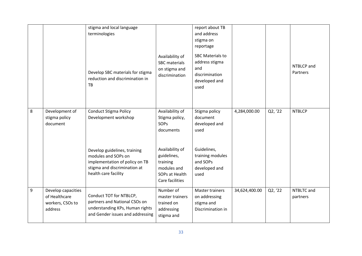|   |                                                                    | stigma and local language<br>terminologies<br>Develop SBC materials for stigma<br>reduction and discrimination in<br><b>TB</b>                                                | Availability of<br><b>SBC</b> materials<br>on stigma and<br>discrimination                                                 | report about TB<br>and address<br>stigma on<br>reportage<br><b>SBC Materials to</b><br>address stigma<br>and<br>discrimination<br>developed and<br>used |               |         | NTBLCP and<br>Partners |
|---|--------------------------------------------------------------------|-------------------------------------------------------------------------------------------------------------------------------------------------------------------------------|----------------------------------------------------------------------------------------------------------------------------|---------------------------------------------------------------------------------------------------------------------------------------------------------|---------------|---------|------------------------|
| 8 | Development of<br>stigma policy<br>document                        | <b>Conduct Stigma Policy</b><br>Development workshop<br>Develop guidelines, training<br>modules and SOPs on<br>implementation of policy on TB<br>stigma and discrimination at | Availability of<br>Stigma policy,<br><b>SOPS</b><br>documents<br>Availability of<br>guidelines,<br>training<br>modules and | Stigma policy<br>document<br>developed and<br>used<br>Guidelines,<br>training modules<br>and SOPs<br>developed and                                      | 4,284,000.00  | Q2, '22 | <b>NTBLCP</b>          |
|   |                                                                    | health care facility                                                                                                                                                          | SOPs at Health<br>Care facilities                                                                                          | used                                                                                                                                                    |               |         |                        |
| 9 | Develop capacities<br>of Healthcare<br>workers, CSOs to<br>address | Conduct TOT for NTBLCP,<br>partners and National CSOs on<br>understanding KPs, Human rights<br>and Gender issues and addressing                                               | Number of<br>master trainers<br>trained on<br>addressing<br>stigma and                                                     | Master trainers<br>on addressing<br>stigma and<br>Discrimination in                                                                                     | 34,624,400.00 | Q2, '22 | NTBLTC and<br>partners |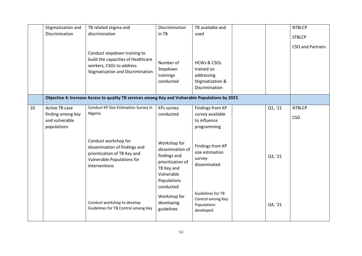|    | Stigmatization and<br>Discrimination                                        | TB related stigma and<br>discrimination<br>Conduct stepdown training to<br>build the capacities of Healthcare                               | Discrimination<br>in TB<br>Number of                                                                                          | TB available and<br>used<br><b>HCWs &amp; CSOs</b>                        |         | <b>NTBLCP</b><br><b>STBLCP</b><br><b>CSO and Partners</b> |
|----|-----------------------------------------------------------------------------|---------------------------------------------------------------------------------------------------------------------------------------------|-------------------------------------------------------------------------------------------------------------------------------|---------------------------------------------------------------------------|---------|-----------------------------------------------------------|
|    |                                                                             | workers, CSOs to address<br><b>Stigmatization and Discrimination</b>                                                                        | Stepdown<br>trainings<br>conducted                                                                                            | trained on<br>addressing<br>Stigmatization &<br>Discrimination            |         |                                                           |
|    |                                                                             | Objective 4: Increase Access to quality TB services among Key and Vulnerable Populations by 2025                                            |                                                                                                                               |                                                                           |         |                                                           |
| 10 | <b>Active TB case</b><br>finding among key<br>and vulnerable<br>populations | Conduct KP Size Estimation Survey in<br>Nigeria                                                                                             | <b>KPs survey</b><br>conducted                                                                                                | Findings from KP<br>survey available<br>to influence<br>programming       | Q1, '21 | <b>NTBLCP</b><br><b>CSO</b>                               |
|    |                                                                             | Conduct workshop for<br>dissemination of findings and<br>prioritization of TB Key and<br><b>Vulnerable Populations for</b><br>Interventions | Workshop for<br>dissemination of<br>findings and<br>prioritization of<br>TB Key and<br>Vulnerable<br>Populations<br>conducted | Findings from KP<br>size estimation<br>survey<br>disseminated             | Q3, '21 |                                                           |
|    |                                                                             | Conduct workshop to develop<br>Guidelines for TB Control among Key                                                                          | Workshop for<br>developing<br>guidelines                                                                                      | <b>Guidelines for TB</b><br>Control among Key<br>Populations<br>developed | Q4, '21 |                                                           |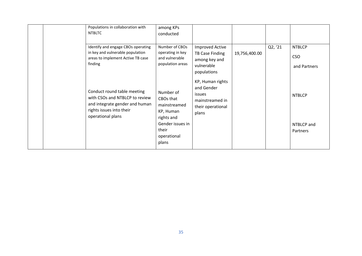| Populations in collaboration with<br><b>NTBLTC</b>                                                                                               | among KPs<br>conducted                                                                                                 |                                                                                           |               |         |                                             |
|--------------------------------------------------------------------------------------------------------------------------------------------------|------------------------------------------------------------------------------------------------------------------------|-------------------------------------------------------------------------------------------|---------------|---------|---------------------------------------------|
| Identify and engage CBOs operating<br>in key and vulnerable population<br>areas to implement Active TB case<br>finding                           | Number of CBOs<br>operating in key<br>and vulnerable<br>population areas                                               | <b>Improved Active</b><br>TB Case Finding<br>among key and<br>vulnerable<br>populations   | 19,756,400.00 | Q2, '21 | <b>NTBLCP</b><br><b>CSO</b><br>and Partners |
| Conduct round table meeting<br>with CSOs and NTBLCP to review<br>and integrate gender and human<br>rights issues into their<br>operational plans | Number of<br>CBOs that<br>mainstreamed<br>KP, Human<br>rights and<br>Gender issues in<br>their<br>operational<br>plans | KP, Human rights<br>and Gender<br>issues<br>mainstreamed in<br>their operational<br>plans |               |         | <b>NTBLCP</b><br>NTBLCP and<br>Partners     |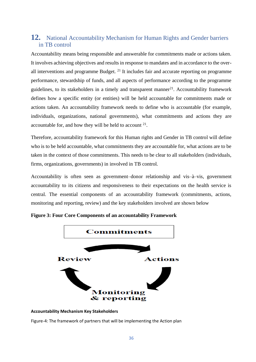# <span id="page-35-0"></span>**12.** National Accountability Mechanism for Human Rights and Gender barriers in TB control

Accountability means being responsible and answerable for commitments made or actions taken. It involves achieving objectives and results in response to mandates and in accordance to the overall interventions and programme Budget.  $21$  It includes fair and accurate reporting on programme performance, stewardship of funds, and all aspects of performance according to the programme guidelines, to its stakeholders in a timely and transparent manner<sup>21</sup>. Accountability framework defines how a specific entity (or entities) will be held accountable for commitments made or actions taken. An accountability framework needs to define who is accountable (for example, individuals, organizations, national governments), what commitments and actions they are accountable for, and how they will be held to account  $2<sup>1</sup>$ .

Therefore, accountability framework for this Human rights and Gender in TB control will define who is to be held accountable, what commitments they are accountable for, what actions are to be taken in the context of those commitments. This needs to be clear to all stakeholders (individuals, firms, organizations, governments) in involved in TB control.

Accountability is often seen as government–donor relationship and vis–à–vis, government accountability to its citizens and responsiveness to their expectations on the health service is central. The essential components of an accountability framework (commitments, actions, monitoring and reporting, review) and the key stakeholders involved are shown below



**Figure 3: Four Core Components of an accountability Framework**



Figure-4: The framework of partners that will be implementing the Action plan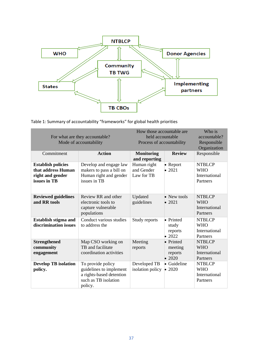

Table 1: Summary of accountability "frameworks" for global health priorities

| For what are they accountable?<br>Mode of accountability<br>Commitment              | How those accountable are.<br>held accountable<br>Process of accountability<br><b>Monitoring</b><br>and reporting | Who is<br>accountable?<br>Responsible<br>Organization<br>Responsible |                                                   |                                                          |
|-------------------------------------------------------------------------------------|-------------------------------------------------------------------------------------------------------------------|----------------------------------------------------------------------|---------------------------------------------------|----------------------------------------------------------|
| <b>Establish policies</b><br>that address Human<br>right and gender<br>issues in TB | Develop and engage law<br>makers to pass a bill on<br>Human right and gender<br>issues in TB                      | Human right<br>and Gender<br>Law for TB                              | • Report<br>$\bullet$ 2021                        | <b>NTBLCP</b><br><b>WHO</b><br>International<br>Partners |
| <b>Reviewed guidelines</b><br>and RR tools                                          | Review RR and other<br>electronic tools to<br>capture vulnerable<br>populations                                   | Updated<br>guidelines                                                | • New tools<br>$\bullet$ 2021                     | <b>NTBLCP</b><br><b>WHO</b><br>International<br>Partners |
| Establish stigma and<br>discrimination issues                                       | Conduct various studies<br>to address the                                                                         | Study reports                                                        | • Printed<br>study<br>reports<br>$\bullet$ 2022   | <b>NTBLCP</b><br><b>WHO</b><br>International<br>Partners |
| <b>Strengthened</b><br>community<br>engagement                                      | Map CSO working on<br>TB and facilitate<br>coordination activities                                                | Meeting<br>reports                                                   | • Printed<br>meeting<br>reports<br>$\bullet$ 2020 | <b>NTBLCP</b><br><b>WHO</b><br>International<br>Partners |
| <b>Develop TB</b> isolation<br>policy.                                              | To provide policy<br>guidelines to implement<br>a rights-based detention<br>such as TB isolation<br>policy.       | Developed TB<br>isolation policy                                     | • Guideline<br>$\bullet$ 2020                     | <b>NTBLCP</b><br><b>WHO</b><br>International<br>Partners |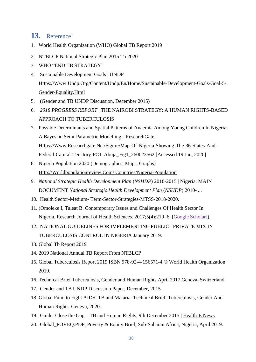# <span id="page-37-0"></span>**13.** Reference`

- 1. World Health Organization (WHO) Global TB Report 2019
- 2. NTBLCP National Strategic Plan 2015 To 2020
- 3. WHO "END TB STRATEGY"
- 4. [Sustainable Development Goals | UNDP](https://www.undp.org/content/undp/en/home/sustainable-development-goals.html) [Https://Www.Undp.Org/Content/Undp/En/Home/Sustainable-Development-Goals/Goal-5-](https://www.undp.org/content/undp/en/home/sustainable-development-goals/goal-5-gender-equality.html) [Gender-Equality.Html](https://www.undp.org/content/undp/en/home/sustainable-development-goals/goal-5-gender-equality.html)
- 5. (Gender and TB UNDP Discussion, December 2015)
- 6. *2018 PROGRESS REPORT* | THE NAIROBI STRATEGY: A HUMAN RIGHTS-BASED APPROACH TO TUBERCULOSIS
- 7. Possible Determinants and Spatial Patterns of Anaemia Among Young Children In Nigeria: A Bayesian Semi-Parametric Modelling - ResearchGate. Https://Www.Researchgate.Net/Figure/Map-Of-Nigeria-Showing-The-36-States-And-Federal-Capital-Territory-FCT-Abuja\_Fig1\_260023562 [Accessed 19 Jan, 2020]
- 8. Nigeria Population 2020 [\(Demographics, Maps, Graphs\)](about:blank)  [Http://Worldpopulationreview.Com/ Countries/Nigeria-Population](about:blank)
- 9. *National Strategic Health Development Plan* (*NSHDP*) 2010-2015 | Nigeria. MAIN DOCUMENT *National Strategic Health Development Plan* (*NSHDP*) 2010- ...
- 10. Health Sector-Medium- Term-Sector-Strategies-MTSS-2018-2020.
- 11. (Omoleke I, Taleat B. Contemporary Issues and Challenges Of Health Sector In Nigeria. Research Journal of Health Sciences. 2017;5(4):210–6. [\[Google Scholar\]](https://scholar.google.com/scholar_lookup?journal=Research+Journal+of+Health+Sciences&title=Contemporary+issues+and+challenges+of+health+sector+in+Nigeria.&author=I+Omoleke&author=B+Taleat&volume=5&issue=4&publication_year=2017&pages=210-6&)).
- 12. NATIONAL GUIDELINES FOR IMPLEMENTING PUBLIC– PRIVATE MIX IN TUBERCULOSIS CONTROL IN NIGERIA January 2019.
- 13. Global Tb Report 2019
- 14. 2019 National Annual TB Report From NTBLCP
- 15. Global Tuberculosis Report 2019 ISBN 978-92-4-156571-4 © World Health Organization 2019.
- 16. Technical Brief Tuberculosis, Gender and Human Rights April 2017 Geneva, Switzerland
- 17. Gender and TB UNDP Discussion Paper, December, 2015
- 18. Global Fund to Fight AIDS, TB and Malaria. Technical Brief: Tuberculosis, Gender And Human Rights. Geneva, 2020.
- 19. Guide: Close the Gap TB and Human Rights, 9th December 2015 | [Health-E News](https://health-e.org.za/author/healthe/)
- 20. Global\_POVEQ.PDF, Poverty & Equity Brief, Sub-Saharan Africa, Nigeria, April 2019.